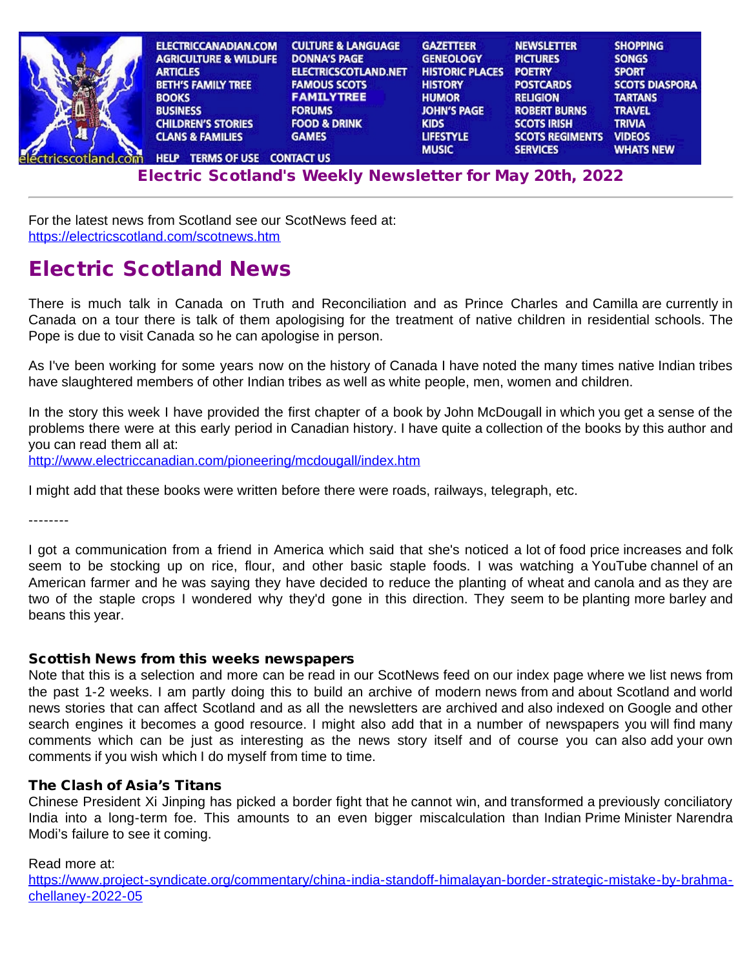| ELECTRICCANADIAN.COM               | <b>CULTURE &amp; LANGUAGE</b> | <b>GAZETTEER</b>       | <b>NEWSLETTER</b>      | <b>SHOPPING</b>       |
|------------------------------------|-------------------------------|------------------------|------------------------|-----------------------|
| <b>AGRICULTURE &amp; WILDLIFE</b>  | <b>DONNA'S PAGE</b>           | <b>GENEOLOGY</b>       | <b>PICTURES</b>        | <b>SONGS</b>          |
| <b>ARTICLES</b>                    | <b>ELECTRICSCOTLAND.NET</b>   | <b>HISTORIC PLACES</b> | <b>POETRY</b>          | <b>SPORT</b>          |
| <b>BETH'S FAMILY TREE</b>          | <b>FAMOUS SCOTS</b>           | <b>HISTORY</b>         | <b>POSTCARDS</b>       | <b>SCOTS DIASPORA</b> |
| <b>BOOKS</b>                       | <b>FAMILYTREE</b>             | <b>HUMOR</b>           | <b>RELIGION</b>        | <b>TARTANS</b>        |
| <b>BUSINESS</b>                    | <b>FORUMS</b>                 | <b>JOHN'S PAGE</b>     | <b>ROBERT BURNS</b>    | <b>TRAVEL</b>         |
| <b>CHILDREN'S STORIES</b>          | <b>FOOD &amp; DRINK</b>       | <b>KIDS</b>            | <b>SCOTS IRISH</b>     | <b>TRIVIA</b>         |
| <b>CLANS &amp; FAMILIES</b>        | <b>GAMES</b>                  | <b>LIFESTYLE</b>       | <b>SCOTS REGIMENTS</b> | <b>VIDEOS</b>         |
|                                    |                               | <b>MUSIC</b>           | <b>SERVICES</b>        | <b>WHATS NEW</b>      |
| <b>TERMS OF USE</b><br><b>HELP</b> | <b>CONTACT US</b>             |                        |                        |                       |

E[lectri](http://www.electricscotland.org/help/)[c Scotlan](http://www.electricscotland.com/ester.htm)[d's Weekly Newslet](http://www.electricscotland.com/contact.htm)[ter for M](http://www.electricscotland.com/music/index.htm)[ay 20th, 202](http://www.electricscotland.com/services/index.htm)[2](http://www.electricscotland.com/whatsnew.htm)

For the latest news from Scotland see our ScotNews feed at: <https://electricscotland.com/scotnews.htm>

# Electric Scotland News

There is much talk in Canada on Truth and Reconciliation and as Prince Charles and Camilla are currently in Canada on a tour there is talk of them apologising for the treatment of native children in residential schools. The Pope is due to visit Canada so he can apologise in person.

As I've been working for some years now on the history of Canada I have noted the many times native Indian tribes have slaughtered members of other Indian tribes as well as white people, men, women and children.

In the story this week I have provided the first chapter of a book by John McDougall in which you get a sense of the problems there were at this early period in Canadian history. I have quite a collection of the books by this author and you can read them all at:

<http://www.electriccanadian.com/pioneering/mcdougall/index.htm>

I might add that these books were written before there were roads, railways, telegraph, etc.

--------

I got a communication from a friend in America which said that she's noticed a lot of food price increases and folk seem to be stocking up on rice, flour, and other basic staple foods. I was watching a YouTube channel of an American farmer and he was saying they have decided to reduce the planting of wheat and canola and as they are two of the staple crops I wondered why they'd gone in this direction. They seem to be planting more barley and beans this year.

## Scottish News from this weeks newspapers

Note that this is a selection and more can be read in our ScotNews feed on our index page where we list news from the past 1-2 weeks. I am partly doing this to build an archive of modern news from and about Scotland and world news stories that can affect Scotland and as all the newsletters are archived and also indexed on Google and other search engines it becomes a good resource. I might also add that in a number of newspapers you will find many comments which can be just as interesting as the news story itself and of course you can also add your own comments if you wish which I do myself from time to time.

## The Clash of Asia's Titans

Chinese President Xi Jinping has picked a border fight that he cannot win, and transformed a previously conciliatory India into a long-term foe. This amounts to an even bigger miscalculation than Indian Prime Minister Narendra Modi's failure to see it coming.

## Read more at:

[https://www.project-syndicate.org/commentary/china-india-standoff-himalayan-border-strategic-mistake-by-brahma](https://www.project-syndicate.org/commentary/china-india-standoff-himalayan-border-strategic-mistake-by-brahma-chellaney-2022-05)[chellaney-2022-05](https://www.project-syndicate.org/commentary/china-india-standoff-himalayan-border-strategic-mistake-by-brahma-chellaney-2022-05)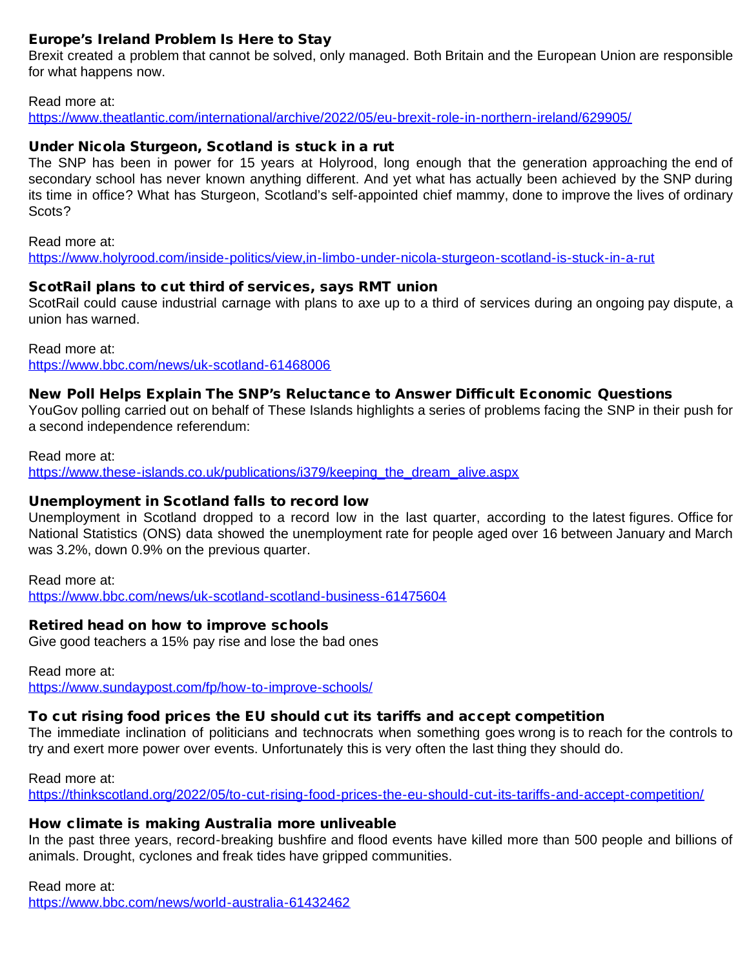# Europe's Ireland Problem Is Here to Stay

Brexit created a problem that cannot be solved, only managed. Both Britain and the European Union are responsible for what happens now.

#### Read more at:

<https://www.theatlantic.com/international/archive/2022/05/eu-brexit-role-in-northern-ireland/629905/>

# Under Nicola Sturgeon, Scotland is stuck in a rut

The SNP has been in power for 15 years at Holyrood, long enough that the generation approaching the end of secondary school has never known anything different. And yet what has actually been achieved by the SNP during its time in office? What has Sturgeon, Scotland's self-appointed chief mammy, done to improve the lives of ordinary Scots?

Read more at:

<https://www.holyrood.com/inside-politics/view,in-limbo-under-nicola-sturgeon-scotland-is-stuck-in-a-rut>

## ScotRail plans to cut third of services, says RMT union

ScotRail could cause industrial carnage with plans to axe up to a third of services during an ongoing pay dispute, a union has warned.

Read more at:

<https://www.bbc.com/news/uk-scotland-61468006>

# New Poll Helps Explain The SNP's Reluctance to Answer Difficult Economic Questions

YouGov polling carried out on behalf of These Islands highlights a series of problems facing the SNP in their push for a second independence referendum:

Read more at:

[https://www.these-islands.co.uk/publications/i379/keeping\\_the\\_dream\\_alive.aspx](https://www.these-islands.co.uk/publications/i379/keeping_the_dream_alive.aspx)

## Unemployment in Scotland falls to record low

Unemployment in Scotland dropped to a record low in the last quarter, according to the latest figures. Office for National Statistics (ONS) data showed the unemployment rate for people aged over 16 between January and March was 3.2%, down 0.9% on the previous quarter.

Read more at: <https://www.bbc.com/news/uk-scotland-scotland-business-61475604>

## Retired head on how to improve schools

Give good teachers a 15% pay rise and lose the bad ones

Read more at: <https://www.sundaypost.com/fp/how-to-improve-schools/>

# To cut rising food prices the EU should cut its tariffs and accept competition

The immediate inclination of politicians and technocrats when something goes wrong is to reach for the controls to try and exert more power over events. Unfortunately this is very often the last thing they should do.

Read more at: <https://thinkscotland.org/2022/05/to-cut-rising-food-prices-the-eu-should-cut-its-tariffs-and-accept-competition/>

# How climate is making Australia more unliveable

In the past three years, record-breaking bushfire and flood events have killed more than 500 people and billions of animals. Drought, cyclones and freak tides have gripped communities.

# Read more at:

<https://www.bbc.com/news/world-australia-61432462>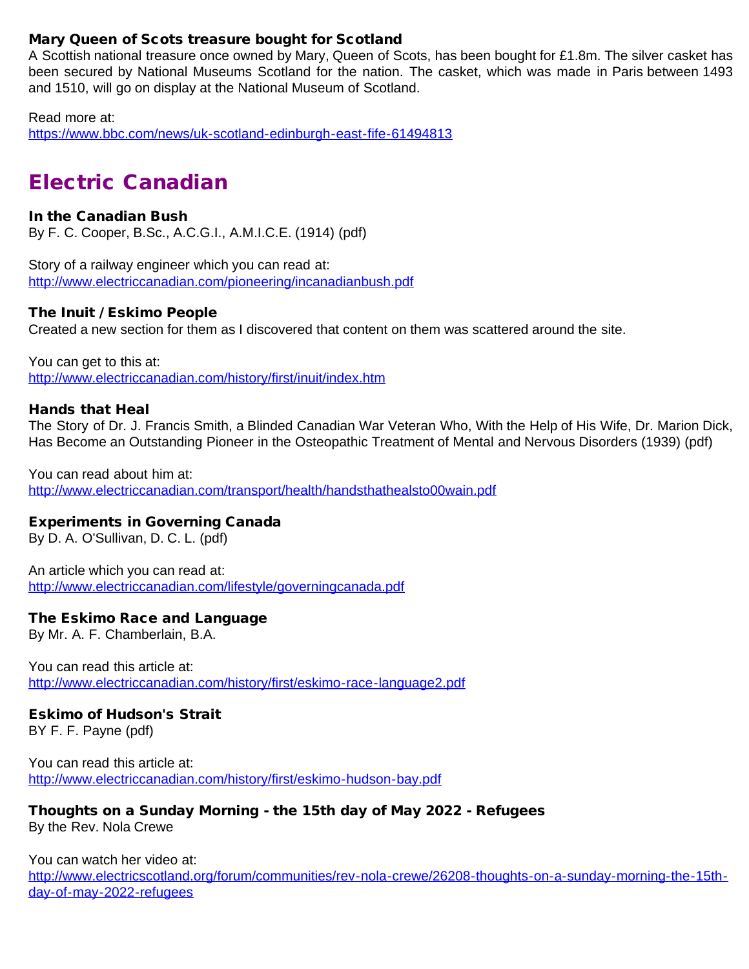# Mary Queen of Scots treasure bought for Scotland

A Scottish national treasure once owned by Mary, Queen of Scots, has been bought for £1.8m. The silver casket has been secured by National Museums Scotland for the nation. The casket, which was made in Paris between 1493 and 1510, will go on display at the National Museum of Scotland.

Read more at:

<https://www.bbc.com/news/uk-scotland-edinburgh-east-fife-61494813>

# Electric Canadian

## In the Canadian Bush

By F. C. Cooper, B.Sc., A.C.G.I., A.M.I.C.E. (1914) (pdf)

Story of a railway engineer which you can read at: <http://www.electriccanadian.com/pioneering/incanadianbush.pdf>

# The Inuit / Eskimo People

Created a new section for them as I discovered that content on them was scattered around the site.

You can get to this at: <http://www.electriccanadian.com/history/first/inuit/index.htm>

## Hands that Heal

The Story of Dr. J. Francis Smith, a Blinded Canadian War Veteran Who, With the Help of His Wife, Dr. Marion Dick, Has Become an Outstanding Pioneer in the Osteopathic Treatment of Mental and Nervous Disorders (1939) (pdf)

You can read about him at: <http://www.electriccanadian.com/transport/health/handsthathealsto00wain.pdf>

# Experiments in Governing Canada

By D. A. O'Sullivan, D. C. L. (pdf)

An article which you can read at: <http://www.electriccanadian.com/lifestyle/governingcanada.pdf>

## The Eskimo Race and Language

By Mr. A. F. Chamberlain, B.A.

You can read this article at: <http://www.electriccanadian.com/history/first/eskimo-race-language2.pdf>

## Eskimo of Hudson's Strait

BY F. F. Payne (pdf)

You can read this article at: <http://www.electriccanadian.com/history/first/eskimo-hudson-bay.pdf>

# Thoughts on a Sunday Morning - the 15th day of May 2022 - Refugees

By the Rev. Nola Crewe

You can watch her video at:

[http://www.electricscotland.org/forum/communities/rev-nola-crewe/26208-thoughts-on-a-sunday-morning-the-15th](http://www.electricscotland.org/forum/communities/rev-nola-crewe/26208-thoughts-on-a-sunday-morning-the-15th-day-of-may-2022-refugees)[day-of-may-2022-refugees](http://www.electricscotland.org/forum/communities/rev-nola-crewe/26208-thoughts-on-a-sunday-morning-the-15th-day-of-may-2022-refugees)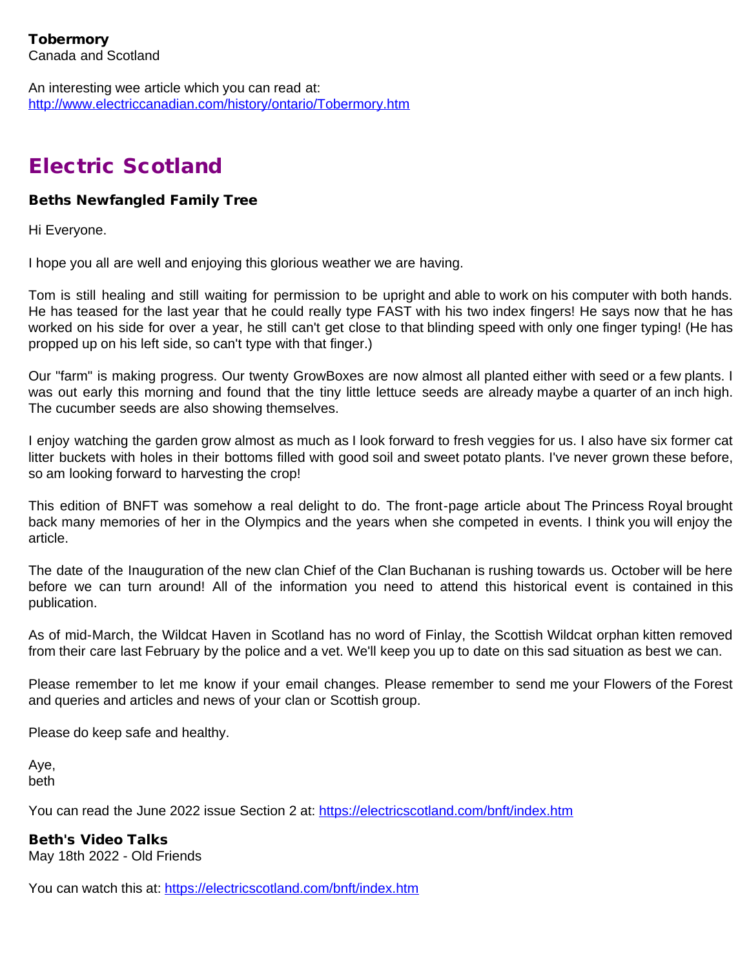An interesting wee article which you can read at: <http://www.electriccanadian.com/history/ontario/Tobermory.htm>

# Electric Scotland

# Beths Newfangled Family Tree

Hi Everyone.

I hope you all are well and enjoying this glorious weather we are having.

Tom is still healing and still waiting for permission to be upright and able to work on his computer with both hands. He has teased for the last year that he could really type FAST with his two index fingers! He says now that he has worked on his side for over a year, he still can't get close to that blinding speed with only one finger typing! (He has propped up on his left side, so can't type with that finger.)

Our "farm" is making progress. Our twenty GrowBoxes are now almost all planted either with seed or a few plants. I was out early this morning and found that the tiny little lettuce seeds are already maybe a quarter of an inch high. The cucumber seeds are also showing themselves.

I enjoy watching the garden grow almost as much as I look forward to fresh veggies for us. I also have six former cat litter buckets with holes in their bottoms filled with good soil and sweet potato plants. I've never grown these before, so am looking forward to harvesting the crop!

This edition of BNFT was somehow a real delight to do. The front-page article about The Princess Royal brought back many memories of her in the Olympics and the years when she competed in events. I think you will enjoy the article.

The date of the Inauguration of the new clan Chief of the Clan Buchanan is rushing towards us. October will be here before we can turn around! All of the information you need to attend this historical event is contained in this publication.

As of mid-March, the Wildcat Haven in Scotland has no word of Finlay, the Scottish Wildcat orphan kitten removed from their care last February by the police and a vet. We'll keep you up to date on this sad situation as best we can.

Please remember to let me know if your email changes. Please remember to send me your Flowers of the Forest and queries and articles and news of your clan or Scottish group.

Please do keep safe and healthy.

Aye, beth

You can read the June 2022 issue Section 2 at:<https://electricscotland.com/bnft/index.htm>

# Beth's Video Talks

May 18th 2022 - Old Friends

You can watch this at:<https://electricscotland.com/bnft/index.htm>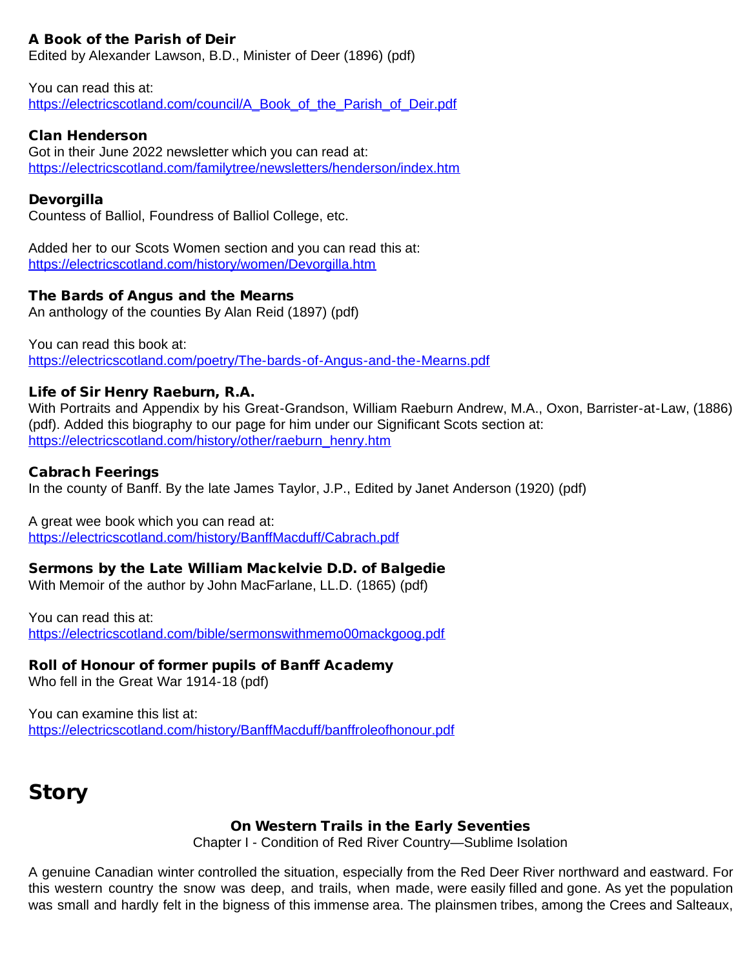# A Book of the Parish of Deir

Edited by Alexander Lawson, B.D., Minister of Deer (1896) (pdf)

You can read this at: [https://electricscotland.com/council/A\\_Book\\_of\\_the\\_Parish\\_of\\_Deir.pdf](https://electricscotland.com/council/A_Book_of_the_Parish_of_Deir.pdf)

# Clan Henderson

Got in their June 2022 newsletter which you can read at: <https://electricscotland.com/familytree/newsletters/henderson/index.htm>

## Devorgilla

Countess of Balliol, Foundress of Balliol College, etc.

Added her to our Scots Women section and you can read this at: <https://electricscotland.com/history/women/Devorgilla.htm>

## The Bards of Angus and the Mearns

An anthology of the counties By Alan Reid (1897) (pdf)

You can read this book at: <https://electricscotland.com/poetry/The-bards-of-Angus-and-the-Mearns.pdf>

## Life of Sir Henry Raeburn, R.A.

With Portraits and Appendix by his Great-Grandson, William Raeburn Andrew, M.A., Oxon, Barrister-at-Law, (1886) (pdf). Added this biography to our page for him under our Significant Scots section at: [https://electricscotland.com/history/other/raeburn\\_henry.htm](https://electricscotland.com/history/other/raeburn_henry.htm)

#### Cabrach Feerings

In the county of Banff. By the late James Taylor, J.P., Edited by Janet Anderson (1920) (pdf)

A great wee book which you can read at:

<https://electricscotland.com/history/BanffMacduff/Cabrach.pdf>

## Sermons by the Late William Mackelvie D.D. of Balgedie

With Memoir of the author by John MacFarlane, LL.D. (1865) (pdf)

You can read this at: <https://electricscotland.com/bible/sermonswithmemo00mackgoog.pdf>

## Roll of Honour of former pupils of Banff Academy

Who fell in the Great War 1914-18 (pdf)

You can examine this list at: <https://electricscotland.com/history/BanffMacduff/banffroleofhonour.pdf>

# **Story**

## On Western Trails in the Early Seventies

Chapter I - Condition of Red River Country—Sublime Isolation

A genuine Canadian winter controlled the situation, especially from the Red Deer River northward and eastward. For this western country the snow was deep, and trails, when made, were easily filled and gone. As yet the population was small and hardly felt in the bigness of this immense area. The plainsmen tribes, among the Crees and Salteaux,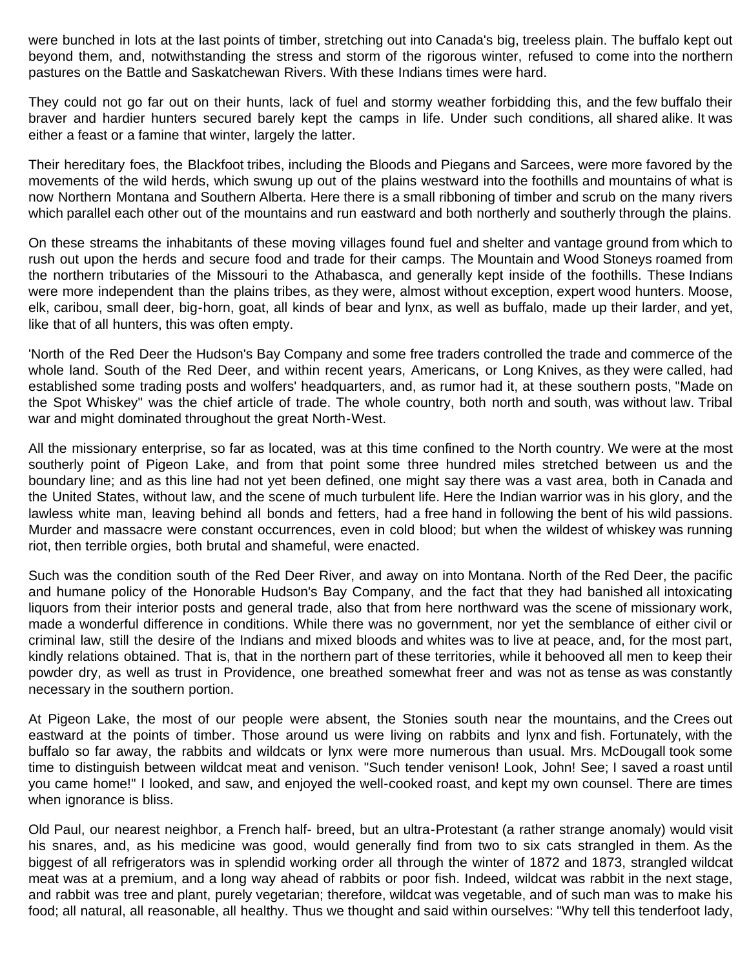were bunched in lots at the last points of timber, stretching out into Canada's big, treeless plain. The buffalo kept out beyond them, and, notwithstanding the stress and storm of the rigorous winter, refused to come into the northern pastures on the Battle and Saskatchewan Rivers. With these Indians times were hard.

They could not go far out on their hunts, lack of fuel and stormy weather forbidding this, and the few buffalo their braver and hardier hunters secured barely kept the camps in life. Under such conditions, all shared alike. It was either a feast or a famine that winter, largely the latter.

Their hereditary foes, the Blackfoot tribes, including the Bloods and Piegans and Sarcees, were more favored by the movements of the wild herds, which swung up out of the plains westward into the foothills and mountains of what is now Northern Montana and Southern Alberta. Here there is a small ribboning of timber and scrub on the many rivers which parallel each other out of the mountains and run eastward and both northerly and southerly through the plains.

On these streams the inhabitants of these moving villages found fuel and shelter and vantage ground from which to rush out upon the herds and secure food and trade for their camps. The Mountain and Wood Stoneys roamed from the northern tributaries of the Missouri to the Athabasca, and generally kept inside of the foothills. These Indians were more independent than the plains tribes, as they were, almost without exception, expert wood hunters. Moose, elk, caribou, small deer, big-horn, goat, all kinds of bear and lynx, as well as buffalo, made up their larder, and yet, like that of all hunters, this was often empty.

'North of the Red Deer the Hudson's Bay Company and some free traders controlled the trade and commerce of the whole land. South of the Red Deer, and within recent years, Americans, or Long Knives, as they were called, had established some trading posts and wolfers' headquarters, and, as rumor had it, at these southern posts, "Made on the Spot Whiskey" was the chief article of trade. The whole country, both north and south, was without law. Tribal war and might dominated throughout the great North-West.

All the missionary enterprise, so far as located, was at this time confined to the North country. We were at the most southerly point of Pigeon Lake, and from that point some three hundred miles stretched between us and the boundary line; and as this line had not yet been defined, one might say there was a vast area, both in Canada and the United States, without law, and the scene of much turbulent life. Here the Indian warrior was in his glory, and the lawless white man, leaving behind all bonds and fetters, had a free hand in following the bent of his wild passions. Murder and massacre were constant occurrences, even in cold blood; but when the wildest of whiskey was running riot, then terrible orgies, both brutal and shameful, were enacted.

Such was the condition south of the Red Deer River, and away on into Montana. North of the Red Deer, the pacific and humane policy of the Honorable Hudson's Bay Company, and the fact that they had banished all intoxicating liquors from their interior posts and general trade, also that from here northward was the scene of missionary work, made a wonderful difference in conditions. While there was no government, nor yet the semblance of either civil or criminal law, still the desire of the Indians and mixed bloods and whites was to live at peace, and, for the most part, kindly relations obtained. That is, that in the northern part of these territories, while it behooved all men to keep their powder dry, as well as trust in Providence, one breathed somewhat freer and was not as tense as was constantly necessary in the southern portion.

At Pigeon Lake, the most of our people were absent, the Stonies south near the mountains, and the Crees out eastward at the points of timber. Those around us were living on rabbits and lynx and fish. Fortunately, with the buffalo so far away, the rabbits and wildcats or lynx were more numerous than usual. Mrs. McDougall took some time to distinguish between wildcat meat and venison. "Such tender venison! Look, John! See; I saved a roast until you came home!" I looked, and saw, and enjoyed the well-cooked roast, and kept my own counsel. There are times when ignorance is bliss.

Old Paul, our nearest neighbor, a French half- breed, but an ultra-Protestant (a rather strange anomaly) would visit his snares, and, as his medicine was good, would generally find from two to six cats strangled in them. As the biggest of all refrigerators was in splendid working order all through the winter of 1872 and 1873, strangled wildcat meat was at a premium, and a long way ahead of rabbits or poor fish. Indeed, wildcat was rabbit in the next stage, and rabbit was tree and plant, purely vegetarian; therefore, wildcat was vegetable, and of such man was to make his food; all natural, all reasonable, all healthy. Thus we thought and said within ourselves: "Why tell this tenderfoot lady,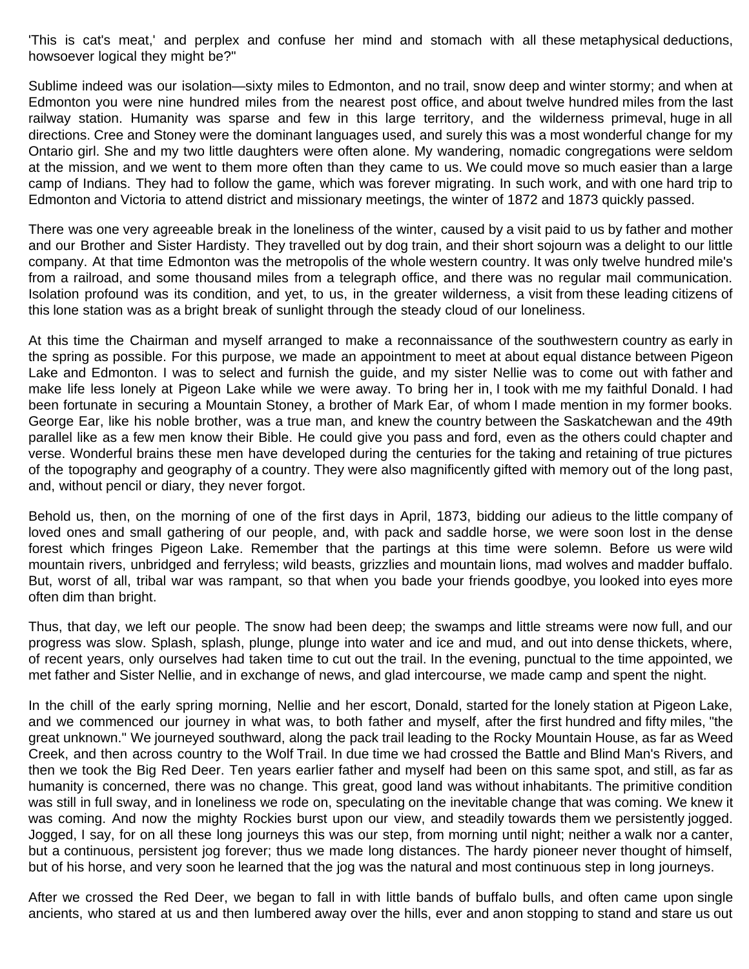'This is cat's meat,' and perplex and confuse her mind and stomach with all these metaphysical deductions, howsoever logical they might be?"

Sublime indeed was our isolation—sixty miles to Edmonton, and no trail, snow deep and winter stormy; and when at Edmonton you were nine hundred miles from the nearest post office, and about twelve hundred miles from the last railway station. Humanity was sparse and few in this large territory, and the wilderness primeval, huge in all directions. Cree and Stoney were the dominant languages used, and surely this was a most wonderful change for my Ontario girl. She and my two little daughters were often alone. My wandering, nomadic congregations were seldom at the mission, and we went to them more often than they came to us. We could move so much easier than a large camp of Indians. They had to follow the game, which was forever migrating. In such work, and with one hard trip to Edmonton and Victoria to attend district and missionary meetings, the winter of 1872 and 1873 quickly passed.

There was one very agreeable break in the loneliness of the winter, caused by a visit paid to us by father and mother and our Brother and Sister Hardisty. They travelled out by dog train, and their short sojourn was a delight to our little company. At that time Edmonton was the metropolis of the whole western country. It was only twelve hundred mile's from a railroad, and some thousand miles from a telegraph office, and there was no regular mail communication. Isolation profound was its condition, and yet, to us, in the greater wilderness, a visit from these leading citizens of this lone station was as a bright break of sunlight through the steady cloud of our loneliness.

At this time the Chairman and myself arranged to make a reconnaissance of the southwestern country as early in the spring as possible. For this purpose, we made an appointment to meet at about equal distance between Pigeon Lake and Edmonton. I was to select and furnish the guide, and my sister Nellie was to come out with father and make life less lonely at Pigeon Lake while we were away. To bring her in, I took with me my faithful Donald. I had been fortunate in securing a Mountain Stoney, a brother of Mark Ear, of whom I made mention in my former books. George Ear, like his noble brother, was a true man, and knew the country between the Saskatchewan and the 49th parallel like as a few men know their Bible. He could give you pass and ford, even as the others could chapter and verse. Wonderful brains these men have developed during the centuries for the taking and retaining of true pictures of the topography and geography of a country. They were also magnificently gifted with memory out of the long past, and, without pencil or diary, they never forgot.

Behold us, then, on the morning of one of the first days in April, 1873, bidding our adieus to the little company of loved ones and small gathering of our people, and, with pack and saddle horse, we were soon lost in the dense forest which fringes Pigeon Lake. Remember that the partings at this time were solemn. Before us were wild mountain rivers, unbridged and ferryless; wild beasts, grizzlies and mountain lions, mad wolves and madder buffalo. But, worst of all, tribal war was rampant, so that when you bade your friends goodbye, you looked into eyes more often dim than bright.

Thus, that day, we left our people. The snow had been deep; the swamps and little streams were now full, and our progress was slow. Splash, splash, plunge, plunge into water and ice and mud, and out into dense thickets, where, of recent years, only ourselves had taken time to cut out the trail. In the evening, punctual to the time appointed, we met father and Sister Nellie, and in exchange of news, and glad intercourse, we made camp and spent the night.

In the chill of the early spring morning, Nellie and her escort, Donald, started for the lonely station at Pigeon Lake, and we commenced our journey in what was, to both father and myself, after the first hundred and fifty miles, "the great unknown." We journeyed southward, along the pack trail leading to the Rocky Mountain House, as far as Weed Creek, and then across country to the Wolf Trail. In due time we had crossed the Battle and Blind Man's Rivers, and then we took the Big Red Deer. Ten years earlier father and myself had been on this same spot, and still, as far as humanity is concerned, there was no change. This great, good land was without inhabitants. The primitive condition was still in full sway, and in loneliness we rode on, speculating on the inevitable change that was coming. We knew it was coming. And now the mighty Rockies burst upon our view, and steadily towards them we persistently jogged. Jogged, I say, for on all these long journeys this was our step, from morning until night; neither a walk nor a canter, but a continuous, persistent jog forever; thus we made long distances. The hardy pioneer never thought of himself, but of his horse, and very soon he learned that the jog was the natural and most continuous step in long journeys.

After we crossed the Red Deer, we began to fall in with little bands of buffalo bulls, and often came upon single ancients, who stared at us and then lumbered away over the hills, ever and anon stopping to stand and stare us out